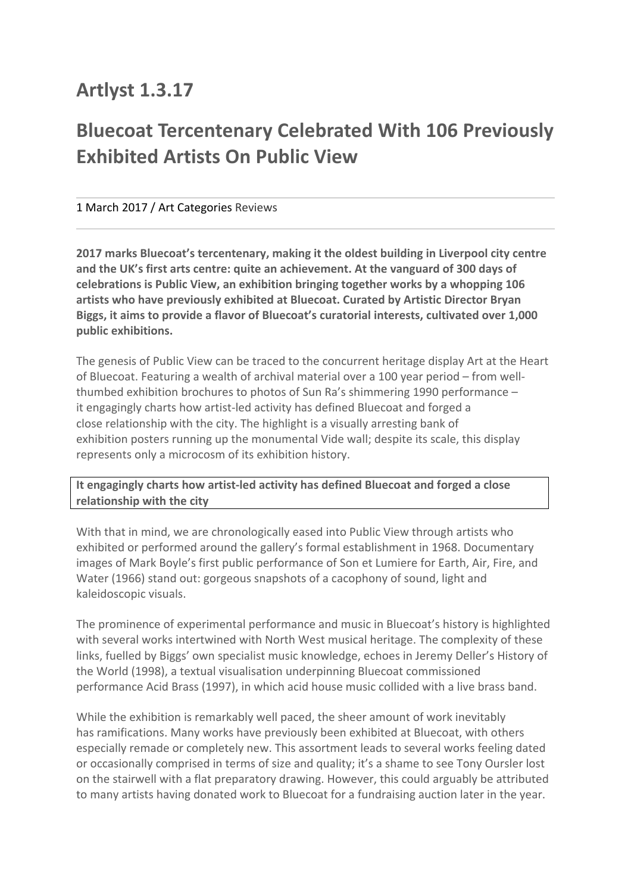## **Artlyst 1.3.17**

## **Bluecoat Tercentenary Celebrated With 106 Previously Exhibited Artists On Public View**

## 1 March 2017 / Art Categories Reviews

**2017** marks Bluecoat's tercentenary, making it the oldest building in Liverpool city centre and the UK's first arts centre: quite an achievement. At the vanguard of 300 days of **celebrations is Public View, an exhibition bringing together works by a whopping 106 artists who have previously exhibited at Bluecoat. Curated by Artistic Director Bryan Biggs, it aims to provide a flavor of Bluecoat's curatorial interests, cultivated over 1,000 public exhibitions.**

The genesis of Public View can be traced to the concurrent heritage display Art at the Heart of Bluecoat. Featuring a wealth of archival material over a 100 year period – from wellthumbed exhibition brochures to photos of Sun Ra's shimmering 1990 performance  $$ it engagingly charts how artist-led activity has defined Bluecoat and forged a close relationship with the city. The highlight is a visually arresting bank of exhibition posters running up the monumental Vide wall; despite its scale, this display represents only a microcosm of its exhibition history.

It engagingly charts how artist-led activity has defined Bluecoat and forged a close **relationship with the city** 

With that in mind, we are chronologically eased into Public View through artists who exhibited or performed around the gallery's formal establishment in 1968. Documentary images of Mark Boyle's first public performance of Son et Lumiere for Earth, Air, Fire, and Water (1966) stand out: gorgeous snapshots of a cacophony of sound, light and kaleidoscopic visuals.

The prominence of experimental performance and music in Bluecoat's history is highlighted with several works intertwined with North West musical heritage. The complexity of these links, fuelled by Biggs' own specialist music knowledge, echoes in Jeremy Deller's History of the World (1998), a textual visualisation underpinning Bluecoat commissioned performance Acid Brass (1997), in which acid house music collided with a live brass band.

While the exhibition is remarkably well paced, the sheer amount of work inevitably has ramifications. Many works have previously been exhibited at Bluecoat, with others especially remade or completely new. This assortment leads to several works feeling dated or occasionally comprised in terms of size and quality; it's a shame to see Tony Oursler lost on the stairwell with a flat preparatory drawing. However, this could arguably be attributed to many artists having donated work to Bluecoat for a fundraising auction later in the year.